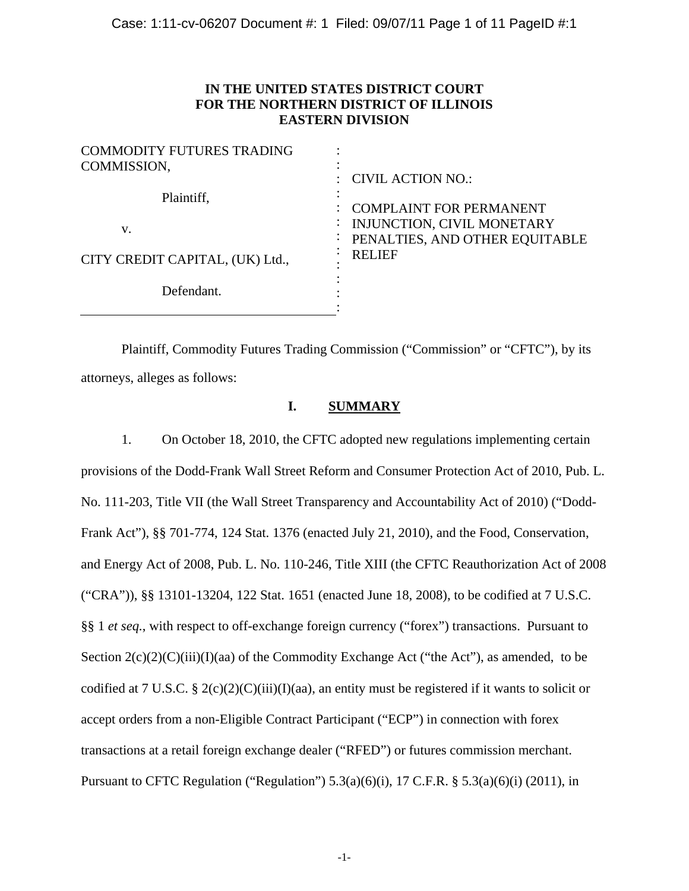# **IN THE UNITED STATES DISTRICT COURT FOR THE NORTHERN DISTRICT OF ILLINOIS EASTERN DIVISION**

| <b>COMMODITY FUTURES TRADING</b><br>COMMISSION, | <b>CIVIL ACTION NO.:</b>                                                                       |
|-------------------------------------------------|------------------------------------------------------------------------------------------------|
| Plaintiff,<br>V.                                | <b>COMPLAINT FOR PERMANENT</b><br>INJUNCTION, CIVIL MONETARY<br>PENALTIES, AND OTHER EQUITABLE |
| CITY CREDIT CAPITAL, (UK) Ltd.,                 | <b>RELIEF</b>                                                                                  |
| Defendant.                                      |                                                                                                |

 Plaintiff, Commodity Futures Trading Commission ("Commission" or "CFTC"), by its attorneys, alleges as follows:

## **I. SUMMARY**

1. On October 18, 2010, the CFTC adopted new regulations implementing certain provisions of the Dodd-Frank Wall Street Reform and Consumer Protection Act of 2010, Pub. L. No. 111-203, Title VII (the Wall Street Transparency and Accountability Act of 2010) ("Dodd-Frank Act"), §§ 701-774, 124 Stat. 1376 (enacted July 21, 2010), and the Food, Conservation, and Energy Act of 2008, Pub. L. No. 110-246, Title XIII (the CFTC Reauthorization Act of 2008 ("CRA")), §§ 13101-13204, 122 Stat. 1651 (enacted June 18, 2008), to be codified at 7 U.S.C. §§ 1 *et seq.*, with respect to off-exchange foreign currency ("forex") transactions. Pursuant to Section  $2(c)(2)(C)(iii)(I)(aa)$  of the Commodity Exchange Act ("the Act"), as amended, to be codified at 7 U.S.C. § 2(c)(2)(C)(iii)(I)(aa), an entity must be registered if it wants to solicit or accept orders from a non-Eligible Contract Participant ("ECP") in connection with forex transactions at a retail foreign exchange dealer ("RFED") or futures commission merchant. Pursuant to CFTC Regulation ("Regulation")  $5.3(a)(6)(i)$ ,  $17$  C.F.R. §  $5.3(a)(6)(i)$  (2011), in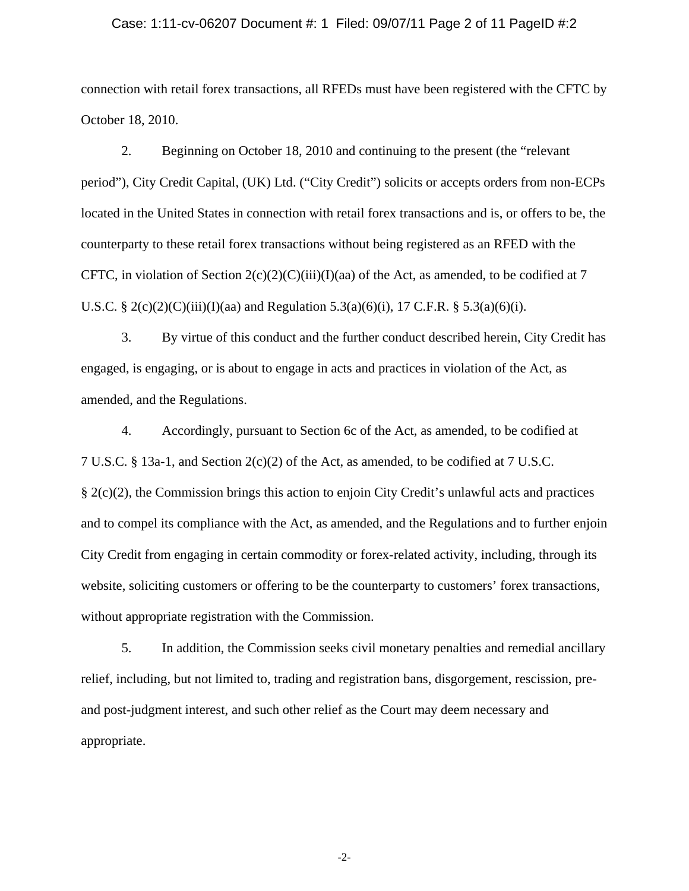#### Case: 1:11-cv-06207 Document #: 1 Filed: 09/07/11 Page 2 of 11 PageID #:2

connection with retail forex transactions, all RFEDs must have been registered with the CFTC by October 18, 2010.

2. Beginning on October 18, 2010 and continuing to the present (the "relevant period"), City Credit Capital, (UK) Ltd. ("City Credit") solicits or accepts orders from non-ECPs located in the United States in connection with retail forex transactions and is, or offers to be, the counterparty to these retail forex transactions without being registered as an RFED with the CFTC, in violation of Section  $2(c)(2)(C)(iii)(I)(aa)$  of the Act, as amended, to be codified at 7 U.S.C. § 2(c)(2)(C)(iii)(I)(aa) and Regulation 5.3(a)(6)(i), 17 C.F.R. § 5.3(a)(6)(i).

3. By virtue of this conduct and the further conduct described herein, City Credit has engaged, is engaging, or is about to engage in acts and practices in violation of the Act, as amended, and the Regulations.

4. Accordingly, pursuant to Section 6c of the Act, as amended, to be codified at 7 U.S.C. § 13a-1, and Section 2(c)(2) of the Act, as amended, to be codified at 7 U.S.C. § 2(c)(2), the Commission brings this action to enjoin City Credit's unlawful acts and practices and to compel its compliance with the Act, as amended, and the Regulations and to further enjoin City Credit from engaging in certain commodity or forex-related activity, including, through its website, soliciting customers or offering to be the counterparty to customers' forex transactions, without appropriate registration with the Commission.

5. In addition, the Commission seeks civil monetary penalties and remedial ancillary relief, including, but not limited to, trading and registration bans, disgorgement, rescission, preand post-judgment interest, and such other relief as the Court may deem necessary and appropriate.

-2-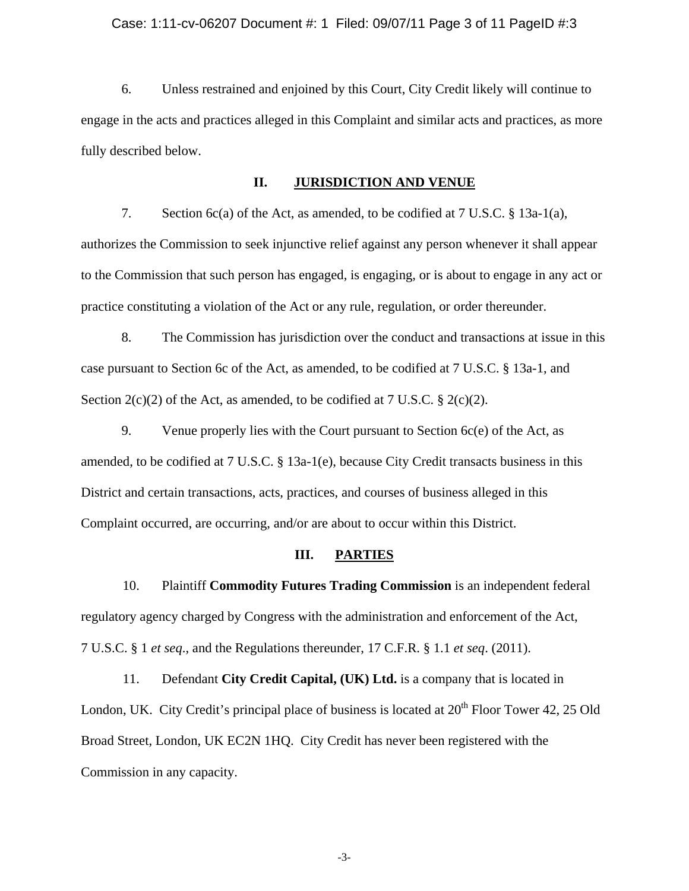#### Case: 1:11-cv-06207 Document #: 1 Filed: 09/07/11 Page 3 of 11 PageID #:3

6. Unless restrained and enjoined by this Court, City Credit likely will continue to engage in the acts and practices alleged in this Complaint and similar acts and practices, as more fully described below.

#### **II. JURISDICTION AND VENUE**

7. Section 6c(a) of the Act, as amended, to be codified at 7 U.S.C. § 13a-1(a), authorizes the Commission to seek injunctive relief against any person whenever it shall appear to the Commission that such person has engaged, is engaging, or is about to engage in any act or practice constituting a violation of the Act or any rule, regulation, or order thereunder.

8. The Commission has jurisdiction over the conduct and transactions at issue in this case pursuant to Section 6c of the Act, as amended, to be codified at 7 U.S.C. § 13a-1, and Section  $2(c)(2)$  of the Act, as amended, to be codified at 7 U.S.C. §  $2(c)(2)$ .

9. Venue properly lies with the Court pursuant to Section 6c(e) of the Act, as amended, to be codified at 7 U.S.C. § 13a-1(e), because City Credit transacts business in this District and certain transactions, acts, practices, and courses of business alleged in this Complaint occurred, are occurring, and/or are about to occur within this District.

### **III. PARTIES**

10. Plaintiff **Commodity Futures Trading Commission** is an independent federal regulatory agency charged by Congress with the administration and enforcement of the Act, 7 U.S.C. § 1 *et seq*., and the Regulations thereunder, 17 C.F.R. § 1.1 *et seq*. (2011).

11. Defendant **City Credit Capital, (UK) Ltd.** is a company that is located in London, UK. City Credit's principal place of business is located at  $20<sup>th</sup>$  Floor Tower 42, 25 Old Broad Street, London, UK EC2N 1HQ. City Credit has never been registered with the Commission in any capacity.

-3-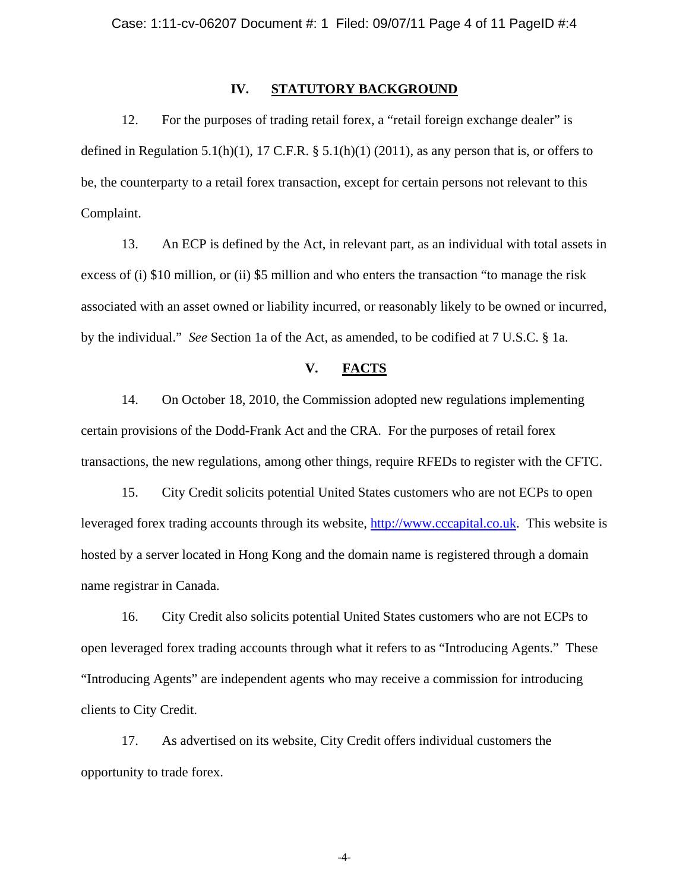### **IV. STATUTORY BACKGROUND**

12. For the purposes of trading retail forex, a "retail foreign exchange dealer" is defined in Regulation 5.1(h)(1), 17 C.F.R.  $\S$  5.1(h)(1) (2011), as any person that is, or offers to be, the counterparty to a retail forex transaction, except for certain persons not relevant to this Complaint.

13. An ECP is defined by the Act, in relevant part, as an individual with total assets in excess of (i) \$10 million, or (ii) \$5 million and who enters the transaction "to manage the risk associated with an asset owned or liability incurred, or reasonably likely to be owned or incurred, by the individual." *See* Section 1a of the Act, as amended, to be codified at 7 U.S.C. § 1a.

### **V. FACTS**

14. On October 18, 2010, the Commission adopted new regulations implementing certain provisions of the Dodd-Frank Act and the CRA. For the purposes of retail forex transactions, the new regulations, among other things, require RFEDs to register with the CFTC.

15. City Credit solicits potential United States customers who are not ECPs to open leveraged forex trading accounts through its website, http://www.cccapital.co.uk. This website is hosted by a server located in Hong Kong and the domain name is registered through a domain name registrar in Canada.

16. City Credit also solicits potential United States customers who are not ECPs to open leveraged forex trading accounts through what it refers to as "Introducing Agents." These "Introducing Agents" are independent agents who may receive a commission for introducing clients to City Credit.

17. As advertised on its website, City Credit offers individual customers the opportunity to trade forex.

-4-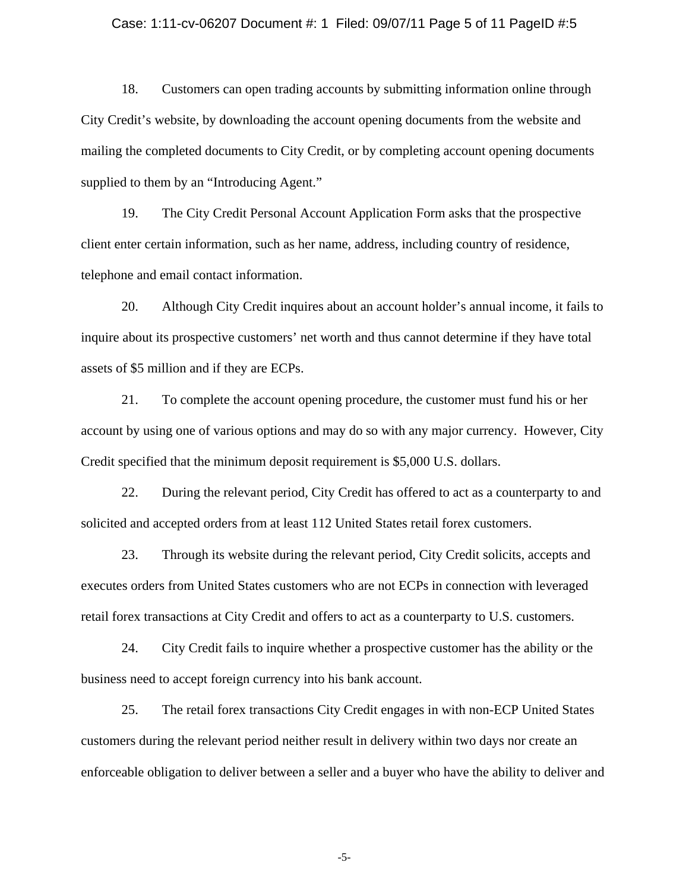#### Case: 1:11-cv-06207 Document #: 1 Filed: 09/07/11 Page 5 of 11 PageID #:5

18. Customers can open trading accounts by submitting information online through City Credit's website, by downloading the account opening documents from the website and mailing the completed documents to City Credit, or by completing account opening documents supplied to them by an "Introducing Agent."

19. The City Credit Personal Account Application Form asks that the prospective client enter certain information, such as her name, address, including country of residence, telephone and email contact information.

20. Although City Credit inquires about an account holder's annual income, it fails to inquire about its prospective customers' net worth and thus cannot determine if they have total assets of \$5 million and if they are ECPs.

21. To complete the account opening procedure, the customer must fund his or her account by using one of various options and may do so with any major currency. However, City Credit specified that the minimum deposit requirement is \$5,000 U.S. dollars.

22. During the relevant period, City Credit has offered to act as a counterparty to and solicited and accepted orders from at least 112 United States retail forex customers.

23. Through its website during the relevant period, City Credit solicits, accepts and executes orders from United States customers who are not ECPs in connection with leveraged retail forex transactions at City Credit and offers to act as a counterparty to U.S. customers.

24. City Credit fails to inquire whether a prospective customer has the ability or the business need to accept foreign currency into his bank account.

25. The retail forex transactions City Credit engages in with non-ECP United States customers during the relevant period neither result in delivery within two days nor create an enforceable obligation to deliver between a seller and a buyer who have the ability to deliver and

-5-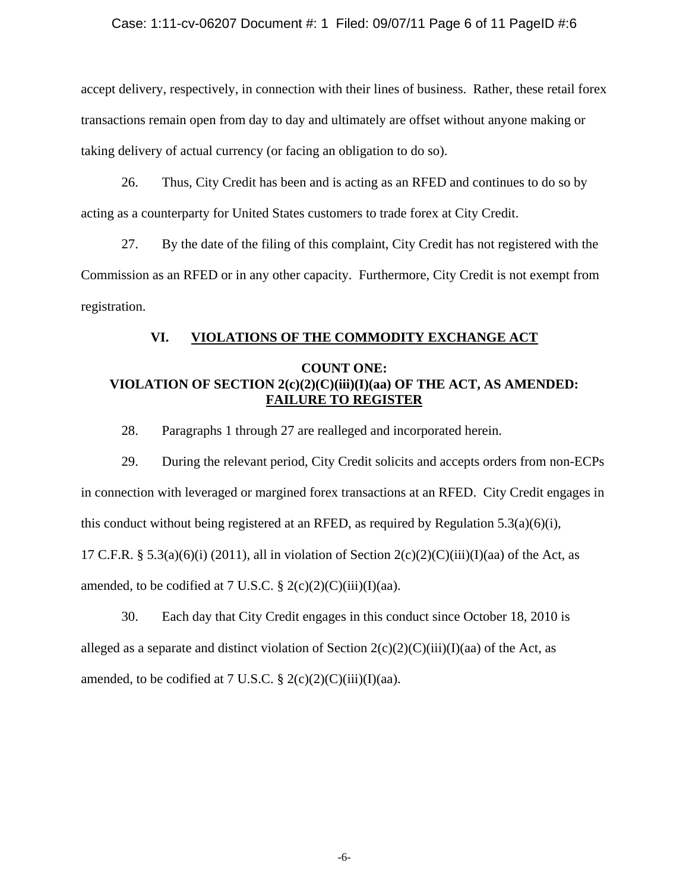### Case: 1:11-cv-06207 Document #: 1 Filed: 09/07/11 Page 6 of 11 PageID #:6

accept delivery, respectively, in connection with their lines of business. Rather, these retail forex transactions remain open from day to day and ultimately are offset without anyone making or taking delivery of actual currency (or facing an obligation to do so).

26. Thus, City Credit has been and is acting as an RFED and continues to do so by acting as a counterparty for United States customers to trade forex at City Credit.

27. By the date of the filing of this complaint, City Credit has not registered with the Commission as an RFED or in any other capacity. Furthermore, City Credit is not exempt from registration.

## **VI. VIOLATIONS OF THE COMMODITY EXCHANGE ACT**

## **COUNT ONE: VIOLATION OF SECTION 2(c)(2)(C)(iii)(I)(aa) OF THE ACT, AS AMENDED: FAILURE TO REGISTER**

28. Paragraphs 1 through 27 are realleged and incorporated herein.

29. During the relevant period, City Credit solicits and accepts orders from non-ECPs in connection with leveraged or margined forex transactions at an RFED. City Credit engages in this conduct without being registered at an RFED, as required by Regulation 5.3(a)(6)(i), 17 C.F.R. § 5.3(a)(6)(i) (2011), all in violation of Section  $2(c)(2)(C(iii)(I)(aa)$  of the Act, as amended, to be codified at 7 U.S.C.  $\S 2(c)(2)(C(iii))(I)(aa)$ .

30. Each day that City Credit engages in this conduct since October 18, 2010 is alleged as a separate and distinct violation of Section  $2(c)(2)(C)(iii)(I)(aa)$  of the Act, as amended, to be codified at 7 U.S.C.  $\S 2(c)(2)(C)(iii)(I)(aa)$ .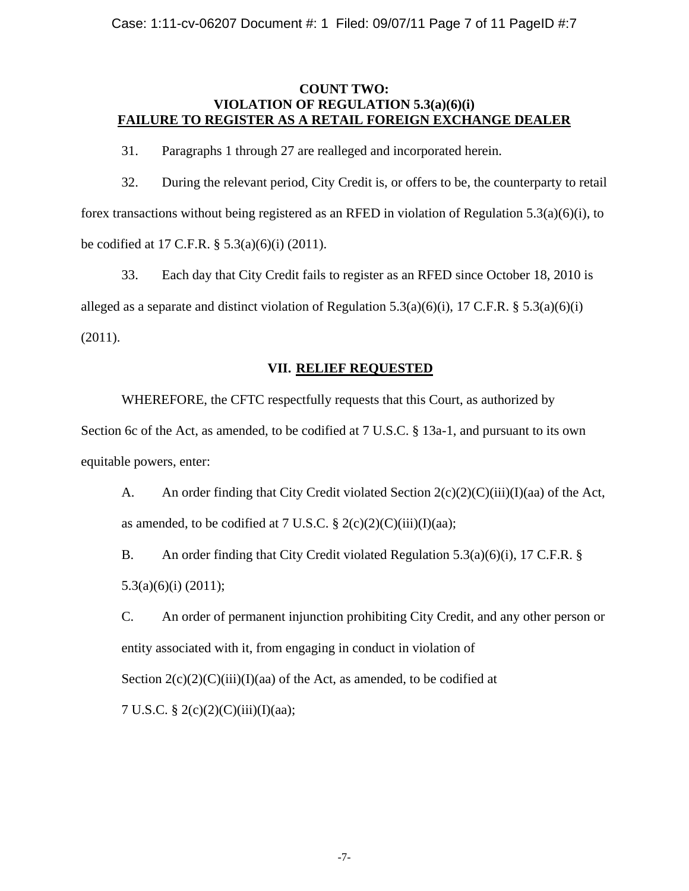## **COUNT TWO: VIOLATION OF REGULATION 5.3(a)(6)(i) FAILURE TO REGISTER AS A RETAIL FOREIGN EXCHANGE DEALER**

31. Paragraphs 1 through 27 are realleged and incorporated herein.

32. During the relevant period, City Credit is, or offers to be, the counterparty to retail forex transactions without being registered as an RFED in violation of Regulation 5.3(a)(6)(i), to be codified at 17 C.F.R. § 5.3(a)(6)(i) (2011).

33. Each day that City Credit fails to register as an RFED since October 18, 2010 is alleged as a separate and distinct violation of Regulation 5.3(a)(6)(i), 17 C.F.R. § 5.3(a)(6)(i) (2011).

## **VII. RELIEF REQUESTED**

WHEREFORE, the CFTC respectfully requests that this Court, as authorized by Section 6c of the Act, as amended, to be codified at 7 U.S.C. § 13a-1, and pursuant to its own equitable powers, enter:

A. An order finding that City Credit violated Section  $2(c)(2)(C)(iii)(I)(aa)$  of the Act, as amended, to be codified at 7 U.S.C.  $\S 2(c)(2)(C(iii))(I)(aa);$ 

B. An order finding that City Credit violated Regulation 5.3(a)(6)(i), 17 C.F.R. § 5.3(a)(6)(i) (2011);

C. An order of permanent injunction prohibiting City Credit, and any other person or entity associated with it, from engaging in conduct in violation of Section  $2(c)(2)(C)(iii)(I)(aa)$  of the Act, as amended, to be codified at 7 U.S.C. § 2(c)(2)(C)(iii)(I)(aa);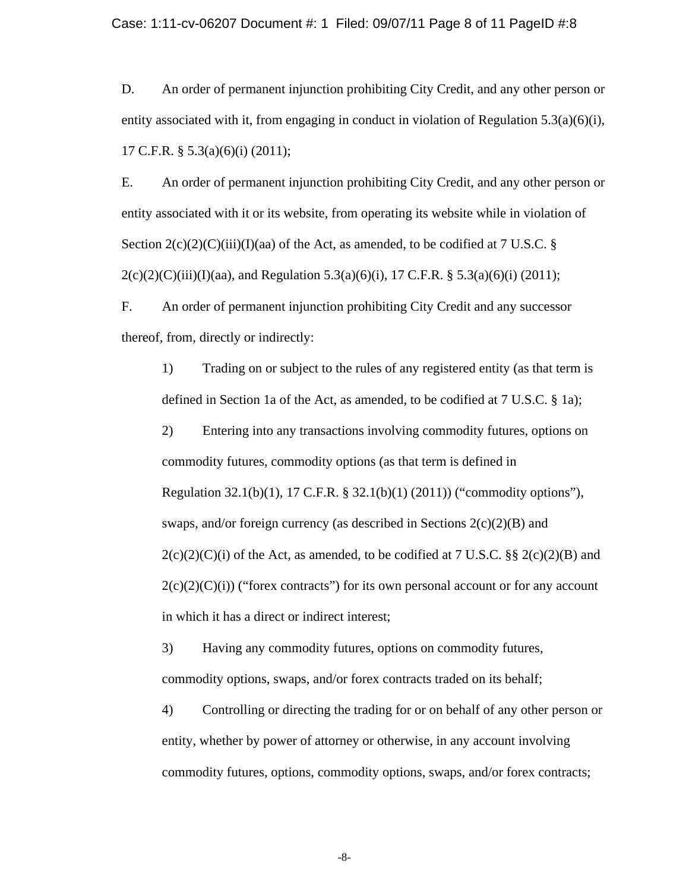Case: 1:11-cv-06207 Document #: 1 Filed: 09/07/11 Page 8 of 11 PageID #:8

D. An order of permanent injunction prohibiting City Credit, and any other person or entity associated with it, from engaging in conduct in violation of Regulation 5.3(a)(6)(i), 17 C.F.R. § 5.3(a)(6)(i) (2011);

E. An order of permanent injunction prohibiting City Credit, and any other person or entity associated with it or its website, from operating its website while in violation of Section  $2(c)(2)(C)(iii)(I)(aa)$  of the Act, as amended, to be codified at 7 U.S.C. §  $2(c)(2)(C)(iii)(I)(aa)$ , and Regulation 5.3(a)(6)(i), 17 C.F.R. § 5.3(a)(6)(i) (2011);

F. An order of permanent injunction prohibiting City Credit and any successor thereof, from, directly or indirectly:

1) Trading on or subject to the rules of any registered entity (as that term is defined in Section 1a of the Act, as amended, to be codified at 7 U.S.C. § 1a);

2) Entering into any transactions involving commodity futures, options on commodity futures, commodity options (as that term is defined in Regulation 32.1(b)(1), 17 C.F.R. § 32.1(b)(1) (2011)) ("commodity options"), swaps, and/or foreign currency (as described in Sections  $2(c)(2)(B)$  and  $2(c)(2)(C)(i)$  of the Act, as amended, to be codified at 7 U.S.C. §§  $2(c)(2)(B)$  and  $2(c)(2)(c)(i)$  ("forex contracts") for its own personal account or for any account in which it has a direct or indirect interest;

3) Having any commodity futures, options on commodity futures, commodity options, swaps, and/or forex contracts traded on its behalf;

4) Controlling or directing the trading for or on behalf of any other person or entity, whether by power of attorney or otherwise, in any account involving commodity futures, options, commodity options, swaps, and/or forex contracts;

-8-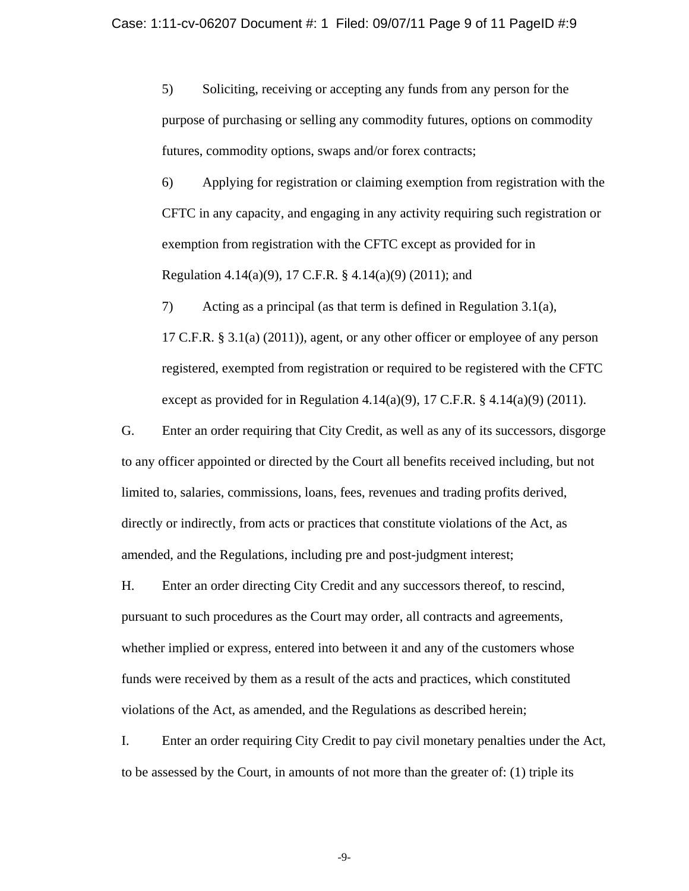5) Soliciting, receiving or accepting any funds from any person for the purpose of purchasing or selling any commodity futures, options on commodity futures, commodity options, swaps and/or forex contracts;

6) Applying for registration or claiming exemption from registration with the CFTC in any capacity, and engaging in any activity requiring such registration or exemption from registration with the CFTC except as provided for in Regulation 4.14(a)(9), 17 C.F.R. § 4.14(a)(9) (2011); and

7) Acting as a principal (as that term is defined in Regulation 3.1(a), 17 C.F.R. § 3.1(a) (2011)), agent, or any other officer or employee of any person registered, exempted from registration or required to be registered with the CFTC except as provided for in Regulation 4.14(a)(9), 17 C.F.R.  $\S$  4.14(a)(9) (2011).

G. Enter an order requiring that City Credit, as well as any of its successors, disgorge to any officer appointed or directed by the Court all benefits received including, but not limited to, salaries, commissions, loans, fees, revenues and trading profits derived, directly or indirectly, from acts or practices that constitute violations of the Act, as amended, and the Regulations, including pre and post-judgment interest;

H. Enter an order directing City Credit and any successors thereof, to rescind, pursuant to such procedures as the Court may order, all contracts and agreements, whether implied or express, entered into between it and any of the customers whose funds were received by them as a result of the acts and practices, which constituted violations of the Act, as amended, and the Regulations as described herein;

I. Enter an order requiring City Credit to pay civil monetary penalties under the Act, to be assessed by the Court, in amounts of not more than the greater of: (1) triple its

-9-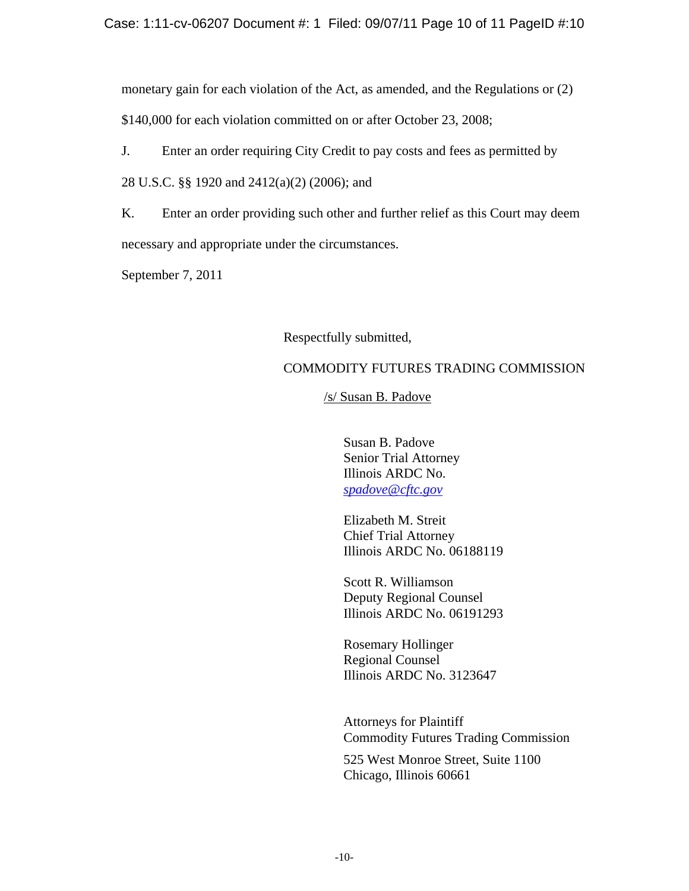monetary gain for each violation of the Act, as amended, and the Regulations or (2) \$140,000 for each violation committed on or after October 23, 2008;

J. Enter an order requiring City Credit to pay costs and fees as permitted by

28 U.S.C. §§ 1920 and 2412(a)(2) (2006); and

K. Enter an order providing such other and further relief as this Court may deem necessary and appropriate under the circumstances.

September 7, 2011

# Respectfully submitted,

# COMMODITY FUTURES TRADING COMMISSION

/s/ Susan B. Padove

Susan B. Padove Senior Trial Attorney Illinois ARDC No. *spadove@cftc.gov*

Elizabeth M. Streit Chief Trial Attorney Illinois ARDC No. 06188119

Scott R. Williamson Deputy Regional Counsel Illinois ARDC No. 06191293

Rosemary Hollinger Regional Counsel Illinois ARDC No. 3123647

Attorneys for Plaintiff Commodity Futures Trading Commission

525 West Monroe Street, Suite 1100 Chicago, Illinois 60661